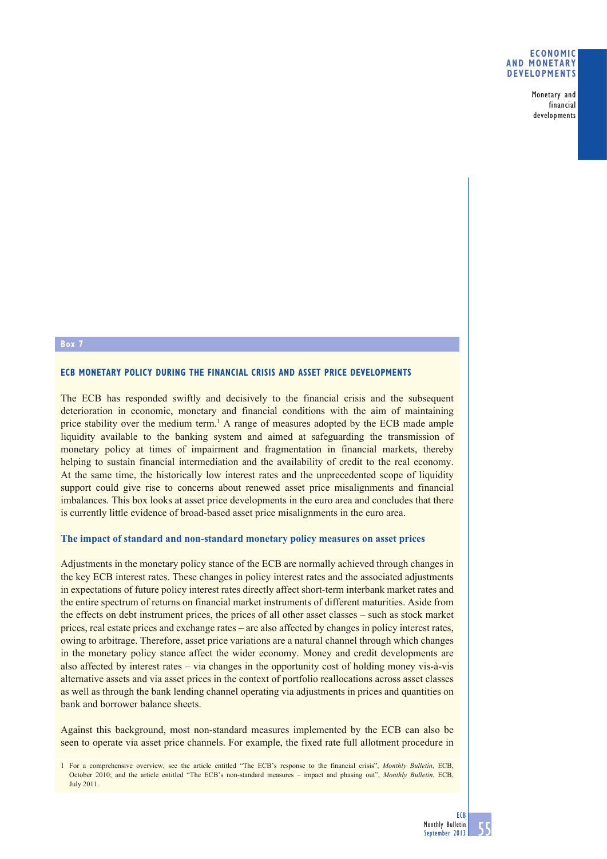#### **ECONOMIC AND MONETARY DEVELOPMENTS**

Monetary and financial developments

## **Box 7**

## **ECB MONETARY POLICY DURING THE FINANCIAL CRISIS AND ASSET PRICE DEVELOPMENTS**

The ECB has responded swiftly and decisively to the financial crisis and the subsequent deterioration in economic, monetary and financial conditions with the aim of maintaining price stability over the medium term.<sup>1</sup> A range of measures adopted by the ECB made ample liquidity available to the banking system and aimed at safeguarding the transmission of monetary policy at times of impairment and fragmentation in financial markets, thereby helping to sustain financial intermediation and the availability of credit to the real economy. At the same time, the historically low interest rates and the unprecedented scope of liquidity support could give rise to concerns about renewed asset price misalignments and financial imbalances. This box looks at asset price developments in the euro area and concludes that there is currently little evidence of broad-based asset price misalignments in the euro area.

#### **The impact of standard and non-standard monetary policy measures on asset prices**

Adjustments in the monetary policy stance of the ECB are normally achieved through changes in the key ECB interest rates. These changes in policy interest rates and the associated adjustments in expectations of future policy interest rates directly affect short-term interbank market rates and the entire spectrum of returns on financial market instruments of different maturities. Aside from the effects on debt instrument prices, the prices of all other asset classes – such as stock market prices, real estate prices and exchange rates – are also affected by changes in policy interest rates, owing to arbitrage. Therefore, asset price variations are a natural channel through which changes in the monetary policy stance affect the wider economy. Money and credit developments are also affected by interest rates – via changes in the opportunity cost of holding money vis-à-vis alternative assets and via asset prices in the context of portfolio reallocations across asset classes as well as through the bank lending channel operating via adjustments in prices and quantities on bank and borrower balance sheets.

Against this background, most non-standard measures implemented by the ECB can also be seen to operate via asset price channels. For example, the fixed rate full allotment procedure in

<sup>1</sup> For a comprehensive overview, see the article entitled "The ECB's response to the financial crisis", *Monthly Bulletin*, ECB, October 2010; and the article entitled "The ECB's non-standard measures – impact and phasing out", *Monthly Bulletin*, ECB, July 2011.

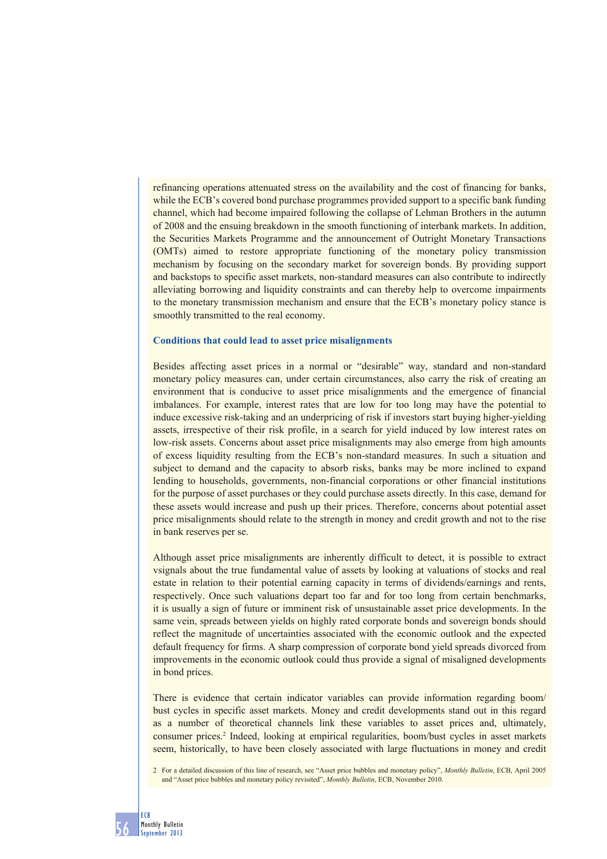refinancing operations attenuated stress on the availability and the cost of financing for banks, while the ECB's covered bond purchase programmes provided support to a specific bank funding channel, which had become impaired following the collapse of Lehman Brothers in the autumn of 2008 and the ensuing breakdown in the smooth functioning of interbank markets. In addition, the Securities Markets Programme and the announcement of Outright Monetary Transactions (OMTs) aimed to restore appropriate functioning of the monetary policy transmission mechanism by focusing on the secondary market for sovereign bonds. By providing support and backstops to specific asset markets, non-standard measures can also contribute to indirectly alleviating borrowing and liquidity constraints and can thereby help to overcome impairments to the monetary transmission mechanism and ensure that the ECB's monetary policy stance is smoothly transmitted to the real economy.

#### **Conditions that could lead to asset price misalignments**

Besides affecting asset prices in a normal or "desirable" way, standard and non-standard monetary policy measures can, under certain circumstances, also carry the risk of creating an environment that is conducive to asset price misalignments and the emergence of financial imbalances. For example, interest rates that are low for too long may have the potential to induce excessive risk-taking and an underpricing of risk if investors start buying higher-yielding assets, irrespective of their risk profile, in a search for yield induced by low interest rates on low-risk assets. Concerns about asset price misalignments may also emerge from high amounts of excess liquidity resulting from the ECB's non-standard measures. In such a situation and subject to demand and the capacity to absorb risks, banks may be more inclined to expand lending to households, governments, non-financial corporations or other financial institutions for the purpose of asset purchases or they could purchase assets directly. In this case, demand for these assets would increase and push up their prices. Therefore, concerns about potential asset price misalignments should relate to the strength in money and credit growth and not to the rise in bank reserves per se.

Although asset price misalignments are inherently difficult to detect, it is possible to extract vsignals about the true fundamental value of assets by looking at valuations of stocks and real estate in relation to their potential earning capacity in terms of dividends/earnings and rents, respectively. Once such valuations depart too far and for too long from certain benchmarks, it is usually a sign of future or imminent risk of unsustainable asset price developments. In the same vein, spreads between yields on highly rated corporate bonds and sovereign bonds should reflect the magnitude of uncertainties associated with the economic outlook and the expected default frequency for firms. A sharp compression of corporate bond yield spreads divorced from improvements in the economic outlook could thus provide a signal of misaligned developments in bond prices.

There is evidence that certain indicator variables can provide information regarding boom/ bust cycles in specific asset markets. Money and credit developments stand out in this regard as a number of theoretical channels link these variables to asset prices and, ultimately, consumer prices.2 Indeed, looking at empirical regularities, boom/bust cycles in asset markets seem, historically, to have been closely associated with large fluctuations in money and credit

2 For a detailed discussion of this line of research, see "Asset price bubbles and monetary policy", *Monthly Bulletin*, ECB, April 2005 and "Asset price bubbles and monetary policy revisited", *Monthly Bulletin*, ECB, November 2010.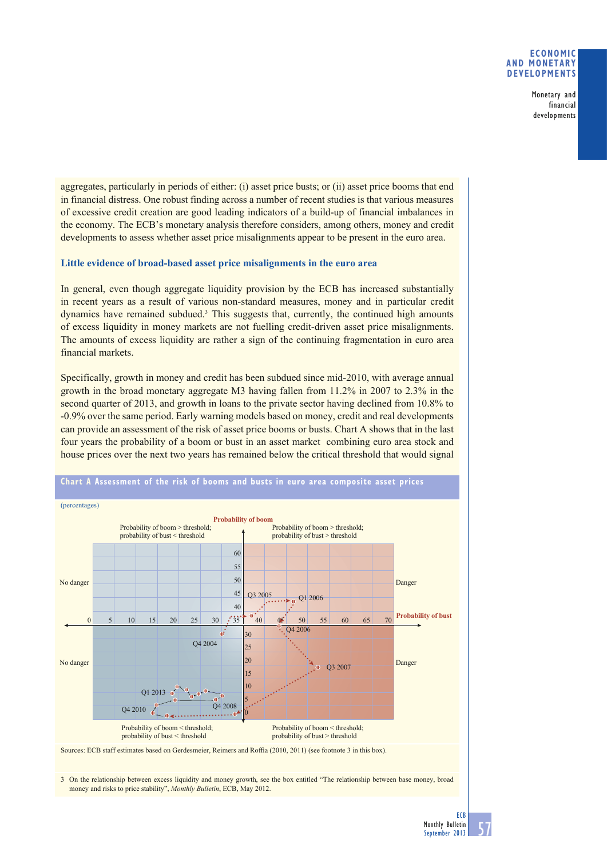### **ECONOMIC AND MONETARY DEVELOPMENTS**

Monetary and financial developments

aggregates, particularly in periods of either: (i) asset price busts; or (ii) asset price booms that end in financial distress. One robust finding across a number of recent studies is that various measures of excessive credit creation are good leading indicators of a build-up of financial imbalances in the economy. The ECB's monetary analysis therefore considers, among others, money and credit developments to assess whether asset price misalignments appear to be present in the euro area.

## **Little evidence of broad-based asset price misalignments in the euro area**

In general, even though aggregate liquidity provision by the ECB has increased substantially in recent years as a result of various non-standard measures, money and in particular credit dynamics have remained subdued.<sup>3</sup> This suggests that, currently, the continued high amounts of excess liquidity in money markets are not fuelling credit-driven asset price misalignments. The amounts of excess liquidity are rather a sign of the continuing fragmentation in euro area financial markets.

Specifically, growth in money and credit has been subdued since mid-2010, with average annual growth in the broad monetary aggregate M3 having fallen from 11.2% in 2007 to 2.3% in the second quarter of 2013, and growth in loans to the private sector having declined from 10.8% to -0.9% over the same period. Early warning models based on money, credit and real developments can provide an assessment of the risk of asset price booms or busts. Chart A shows that in the last four years the probability of a boom or bust in an asset market combining euro area stock and house prices over the next two years has remained below the critical threshold that would signal



3 On the relationship between excess liquidity and money growth, see the box entitled "The relationship between base money, broad money and risks to price stability", *Monthly Bulletin*, ECB, May 2012.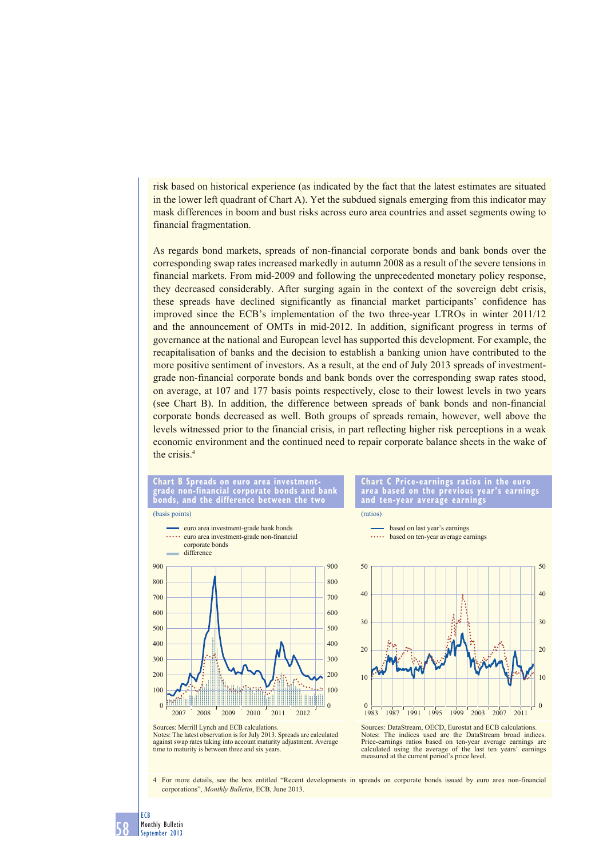risk based on historical experience (as indicated by the fact that the latest estimates are situated in the lower left quadrant of Chart A). Yet the subdued signals emerging from this indicator may mask differences in boom and bust risks across euro area countries and asset segments owing to financial fragmentation.

As regards bond markets, spreads of non-financial corporate bonds and bank bonds over the corresponding swap rates increased markedly in autumn 2008 as a result of the severe tensions in financial markets. From mid-2009 and following the unprecedented monetary policy response, they decreased considerably. After surging again in the context of the sovereign debt crisis, these spreads have declined significantly as financial market participants' confidence has improved since the ECB's implementation of the two three-year LTROs in winter 2011/12 and the announcement of OMTs in mid-2012. In addition, significant progress in terms of governance at the national and European level has supported this development. For example, the recapitalisation of banks and the decision to establish a banking union have contributed to the more positive sentiment of investors. As a result, at the end of July 2013 spreads of investmentgrade non-financial corporate bonds and bank bonds over the corresponding swap rates stood, on average, at 107 and 177 basis points respectively, close to their lowest levels in two years (see Chart B). In addition, the difference between spreads of bank bonds and non-financial corporate bonds decreased as well. Both groups of spreads remain, however, well above the levels witnessed prior to the financial crisis, in part reflecting higher risk perceptions in a weak economic environment and the continued need to repair corporate balance sheets in the wake of the crisis.4



Notes: The latest observation is for July 2013. Spreads are calculated against swap rates taking into account maturity adjustment. Average time to maturity is between three and six years.

4 For more details, see the box entitled "Recent developments in spreads on corporate bonds issued by euro area non-financial corporations", *Monthly Bulletin*, ECB, June 2013.

calculated using the average of the last ten years' earnings

measured at the current period's price level.